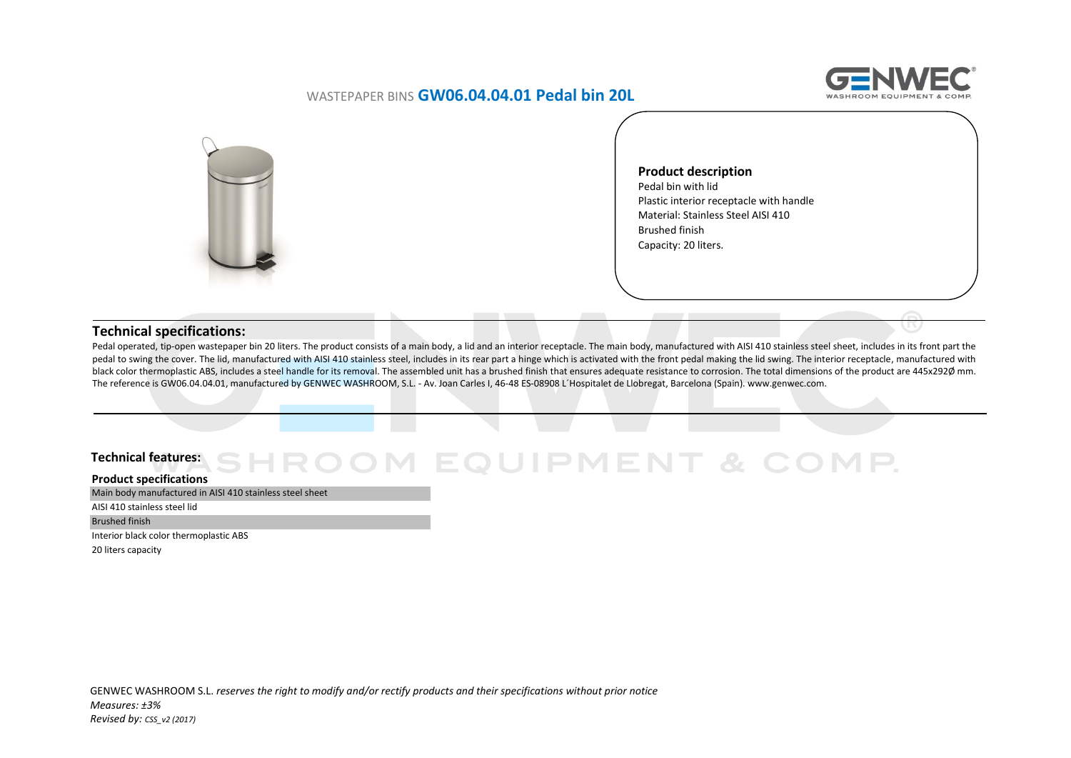## WASTEPAPER BINS **GW06.04.04.01 Pedal bin 20L**





**Product description** Pedal bin with lid Plastic interior receptacle with handle Material: Stainless Steel AISI 410 Brushed finish Capacity: 20 liters.

### **Technical specifications:**

Pedal operated, tip-open wastepaper bin 20 liters. The product consists of a main body, a lid and an interior receptacle. The main body, manufactured with AISI 410 stainless steel sheet, includes in its front part the pedal to swing the cover. The lid, manufactured with AISI 410 stainless steel, includes in its rear part a hinge which is activated with the front pedal making the lid swing. The interior receptacle, manufactured with black color thermoplastic ABS, includes a steel handle for its removal. The assembled unit has a brushed finish that ensures adequate resistance to corrosion. The total dimensions of the product are 445x292Ø mm. The reference is GW06.04.04.01, manufactured by GENWEC WASHROOM, S.L. ‐ Av. Joan Carles I, 46-48 ES-08908 L´Hospitalet de Llobregat, Barcelona (Spain). www.genwec.com.

#### **Technical features:**EQUIPMENT & COMP.

#### **Product specifications**

Main body manufactured in AISI 410 stainless steel sheet

AISI 410 stainless steel lid

Brushed finish

Interior black color thermoplastic ABS

20 liters capacity